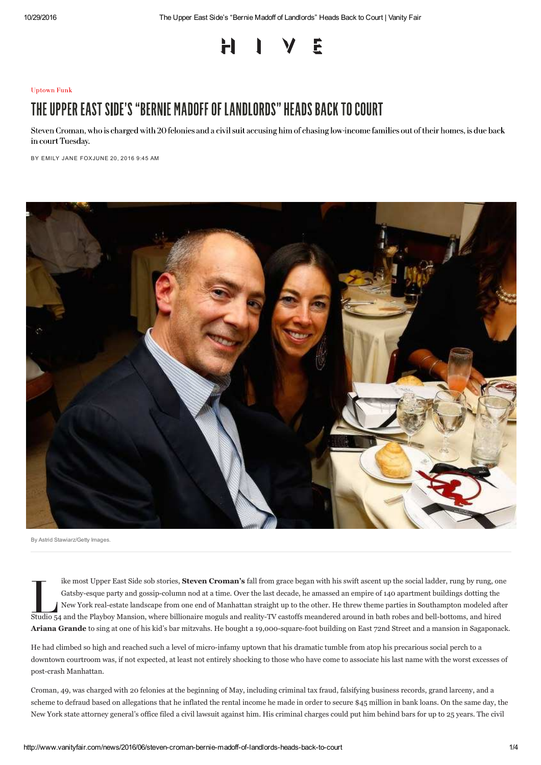### H F

### **Uptown Funk**

# THE UPPER EAST SIDE'S "BERNIE MADOFF OF LANDLORDS" HEADS BACK TO COURT

Steven Croman, who is charged with 20 felonies and a civil suit accusing him of chasing low-income families out of their homes, is due back in court Tuesday.

BY EMILY JANE FOXJUNE 20, 2016 9:45 AM



By Astrid Stawiarz/Getty Images.

ike most Upper East Side sob stories, **Steven Croman's** fall from grace began with his swift ascent up the social ladder, rung by rung, one Gatsby-esque party and gossip-column nod at a time. Over the last decade, he amassed an empire of 140 apartment buildings dotting the New York real-estate landscape from one end of Manhattan straight up to the other. He threw theme parties in Southampton modeled after Studio 54 and the Playboy Mansion, where billionaire moguls and reality-TV castoffs meandered around in bath robes and bell-bottoms, and hired **Ariana Grande** to sing at one of his kid's bar mitzvahs. He bought a 19,000-square-foot building on East 72nd Street and a mansion in Sagaponack.

He had climbed so high and reached such a level of micro-infamy uptown that his dramatic tumble from atop his precarious social perch to a downtown courtroom was, if not expected, at least not entirely shocking to those who have come to associate his last name with the worst excesses of post-crash Manhattan.

Croman, 49, was charged with 20 felonies at the beginning of May, including criminal tax fraud, falsifying business records, grand larceny, and a scheme to defraud based on allegations that he inflated the rental income he made in order to secure \$45 million in bank loans. On the same day, the New York state attorney general's office filed a civil lawsuit against him. His criminal charges could put him behind bars for up to 25 years. The civil